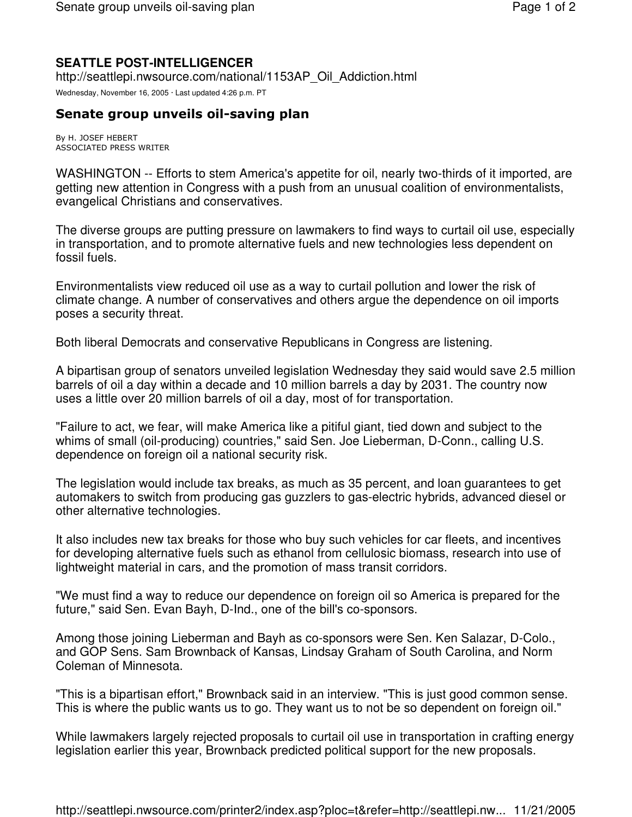## **SEATTLE POST-INTELLIGENCER**

http://seattlepi.nwsource.com/national/1153AP\_Oil\_Addiction.html

Wednesday, November 16, 2005 · Last updated 4:26 p.m. PT

## Senate group unveils oil-saving plan

By H. JOSEF HEBERT ASSOCIATED PRESS WRITER

WASHINGTON -- Efforts to stem America's appetite for oil, nearly two-thirds of it imported, are getting new attention in Congress with a push from an unusual coalition of environmentalists, evangelical Christians and conservatives.

The diverse groups are putting pressure on lawmakers to find ways to curtail oil use, especially in transportation, and to promote alternative fuels and new technologies less dependent on fossil fuels.

Environmentalists view reduced oil use as a way to curtail pollution and lower the risk of climate change. A number of conservatives and others argue the dependence on oil imports poses a security threat.

Both liberal Democrats and conservative Republicans in Congress are listening.

A bipartisan group of senators unveiled legislation Wednesday they said would save 2.5 million barrels of oil a day within a decade and 10 million barrels a day by 2031. The country now uses a little over 20 million barrels of oil a day, most of for transportation.

"Failure to act, we fear, will make America like a pitiful giant, tied down and subject to the whims of small (oil-producing) countries," said Sen. Joe Lieberman, D-Conn., calling U.S. dependence on foreign oil a national security risk.

The legislation would include tax breaks, as much as 35 percent, and loan guarantees to get automakers to switch from producing gas guzzlers to gas-electric hybrids, advanced diesel or other alternative technologies.

It also includes new tax breaks for those who buy such vehicles for car fleets, and incentives for developing alternative fuels such as ethanol from cellulosic biomass, research into use of lightweight material in cars, and the promotion of mass transit corridors.

"We must find a way to reduce our dependence on foreign oil so America is prepared for the future," said Sen. Evan Bayh, D-Ind., one of the bill's co-sponsors.

Among those joining Lieberman and Bayh as co-sponsors were Sen. Ken Salazar, D-Colo., and GOP Sens. Sam Brownback of Kansas, Lindsay Graham of South Carolina, and Norm Coleman of Minnesota.

"This is a bipartisan effort," Brownback said in an interview. "This is just good common sense. This is where the public wants us to go. They want us to not be so dependent on foreign oil."

While lawmakers largely rejected proposals to curtail oil use in transportation in crafting energy legislation earlier this year, Brownback predicted political support for the new proposals.